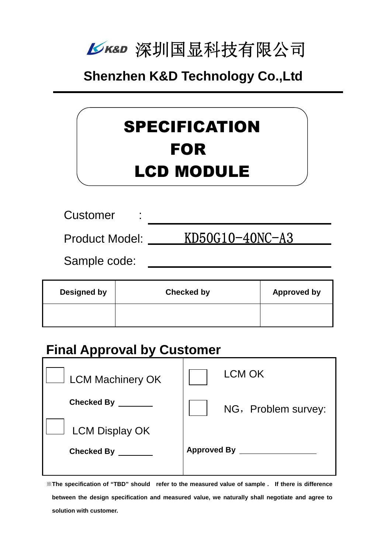

# **Shenzhen K&D Technology Co.,Ltd**

| <b>SPECIFICATION</b><br>FOR<br><b>LCD MODULE</b> |  |                   |                    |  |  |  |
|--------------------------------------------------|--|-------------------|--------------------|--|--|--|
| Customer                                         |  |                   |                    |  |  |  |
| <b>Product Model:</b>                            |  | $KD50G10-40NC-43$ |                    |  |  |  |
| Sample code:                                     |  |                   |                    |  |  |  |
| <b>Designed by</b>                               |  | <b>Checked by</b> | <b>Approved by</b> |  |  |  |
|                                                  |  |                   |                    |  |  |  |
|                                                  |  |                   |                    |  |  |  |

# **Final Approval by Customer**

| <b>LCM Machinery OK</b> | LCM OK              |
|-------------------------|---------------------|
| <b>Checked By</b>       | NG, Problem survey: |
| <b>LCM Display OK</b>   |                     |
| <b>Checked By</b>       | <b>Approved By</b>  |
|                         |                     |

※**The specification of "TBD" should refer to the measured value of sample . If there is difference between the design specification and measured value, we naturally shall negotiate and agree to solution with customer.**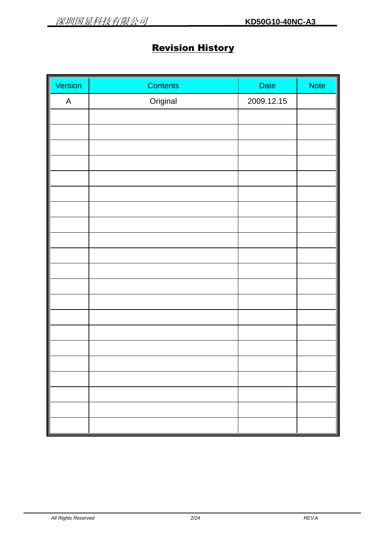# Revision History

| ı<br>Version | <b>Contents</b> | <b>Date</b> | <b>Note</b> |
|--------------|-----------------|-------------|-------------|
| $\mathsf{A}$ | Original        | 2009.12.15  |             |
|              |                 |             |             |
|              |                 |             |             |
|              |                 |             |             |
|              |                 |             |             |
|              |                 |             |             |
|              |                 |             |             |
|              |                 |             |             |
|              |                 |             |             |
|              |                 |             |             |
|              |                 |             |             |
|              |                 |             |             |
|              |                 |             |             |
|              |                 |             |             |
|              |                 |             |             |
|              |                 |             |             |
|              |                 |             |             |
|              |                 |             |             |
|              |                 |             |             |
|              |                 |             |             |
|              |                 |             |             |
|              |                 |             |             |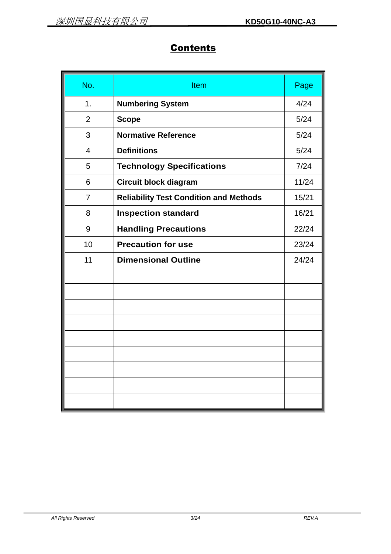# **Contents**

| No.            | <b>Item</b>                                   | Page   |
|----------------|-----------------------------------------------|--------|
| 1.             | <b>Numbering System</b>                       | 4/24   |
| $\overline{2}$ | <b>Scope</b>                                  | 5/24   |
| 3              | <b>Normative Reference</b>                    | 5/24   |
| $\overline{4}$ | <b>Definitions</b>                            | 5/24   |
| 5              | <b>Technology Specifications</b>              | $7/24$ |
| 6              | <b>Circuit block diagram</b>                  | 11/24  |
| $\overline{7}$ | <b>Reliability Test Condition and Methods</b> | 15/21  |
| 8              | <b>Inspection standard</b>                    | 16/21  |
| 9              | <b>Handling Precautions</b>                   | 22/24  |
| 10             | <b>Precaution for use</b>                     | 23/24  |
| 11             | <b>Dimensional Outline</b>                    | 24/24  |
|                |                                               |        |
|                |                                               |        |
|                |                                               |        |
|                |                                               |        |
|                |                                               |        |
|                |                                               |        |
|                |                                               |        |
|                |                                               |        |
|                |                                               |        |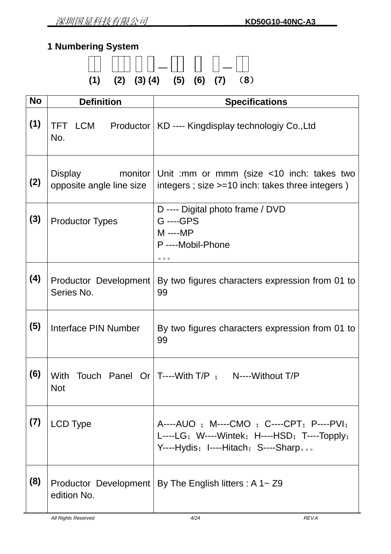# **1 Numbering System**

|  | (1) (2) (3) (4) (5) (6) (7) (8) |  |  |
|--|---------------------------------|--|--|

| <b>No</b> | <b>Definition</b>                          | <b>Specifications</b>                                                                                                            |  |  |  |  |  |  |
|-----------|--------------------------------------------|----------------------------------------------------------------------------------------------------------------------------------|--|--|--|--|--|--|
| (1)       | No.                                        | TFT LCM Productor   KD ---- Kingdisplay technologiy Co., Ltd                                                                     |  |  |  |  |  |  |
| (2)       | <b>Display</b><br>opposite angle line size | monitor   Unit : mm or mmm (size $\lt 10$ inch: takes two<br>integers; size >=10 inch: takes three integers)                     |  |  |  |  |  |  |
| (3)       | <b>Productor Types</b>                     | D ---- Digital photo frame / DVD<br>G ---- GPS<br>M ---- MP<br>P ----Mobil-Phone<br>000                                          |  |  |  |  |  |  |
| (4)       | Productor Development<br>Series No.        | By two figures characters expression from 01 to<br>99                                                                            |  |  |  |  |  |  |
| (5)       | Interface PIN Number                       | By two figures characters expression from 01 to<br>99                                                                            |  |  |  |  |  |  |
| (6)       | <b>With</b><br>Not                         | Touch Panel Or $T$ ----With $T/P$ ; N----Without $T/P$                                                                           |  |  |  |  |  |  |
| (7)       | <b>LCD Type</b>                            | A----AUO ; M----CMO ; C----CPT; P----PVI;<br>L----LG; W----Wintek; H----HSD; T----Topply;<br>Y----Hydis; I----Hitach; S----Sharp |  |  |  |  |  |  |
| (8)       | Productor Development  <br>edition No.     | By The English litters : A $1\sim$ Z9                                                                                            |  |  |  |  |  |  |
|           | <b>CAII Rights Reserved</b>                | REV.A<br>4/24                                                                                                                    |  |  |  |  |  |  |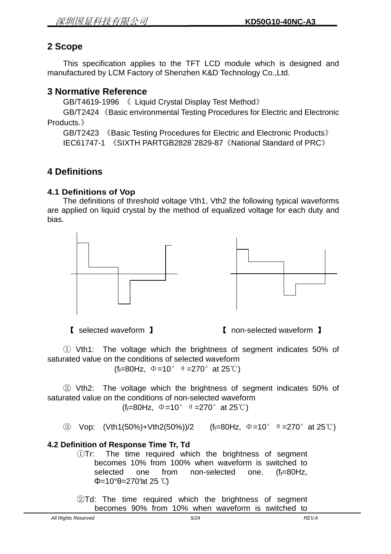# **2 Scope**

This specification applies to the TFT LCD module which is designed and manufactured by LCM Factory of Shenzhen K&D Technology Co.,Ltd.

### **3 Normative Reference**

GB/T4619-1996 《 Liquid Crystal Display Test Method》

GB/T2424 《Basic environmental Testing Procedures for Electric and Electronic Products.》

GB/T2423 《Basic Testing Procedures for Electric and Electronic Products》 IEC61747-1 《SIXTH PARTGB2828`2829-87《National Standard of PRC》

# **4 Definitions**

#### **4.1 Definitions of Vop**

The definitions of threshold voltage Vth1, Vth2 the following typical waveforms are applied on liquid crystal by the method of equalized voltage for each duty and bias.





【 selected waveform 】 【 non-selected waveform 】

① Vth1: The voltage which the brightness of segment indicates 50% of saturated value on the conditions of selected waveform (f<sub>f</sub>=80Hz,  $\Phi$ =10°  $\theta$  =270° at 25°C)

② Vth2: The voltage which the brightness of segment indicates 50% of saturated value on the conditions of non-selected waveform

(f<sub>f</sub>=80Hz,  $\Phi$ =10°  $\theta$  =270° at 25°C)

 $\textcircled{3}$  Vop: (Vth1(50%)+Vth2(50%))/2 (f<sub>f</sub>=80Hz, Φ=10° θ=270° at 25°C)

#### **4.2 Definition of Response Time Tr, Td**

①Tr: The time required which the brightness of segment becomes 10% from 100% when waveform is switched to selected one from non-selected one.  $(f_f=80Hz)$ Φ=10° $\theta$ =270°at 25 °C)

②Td: The time required which the brightness of segment becomes 90% from 10% when waveform is switched to

**CAII Rights Reserved Executive Contract Contract Contract Contract Contract Contract Contract Contract Contract Contract Contract Contract Contract Contract Contract Contract Contract Contract Contract Contract Contract C**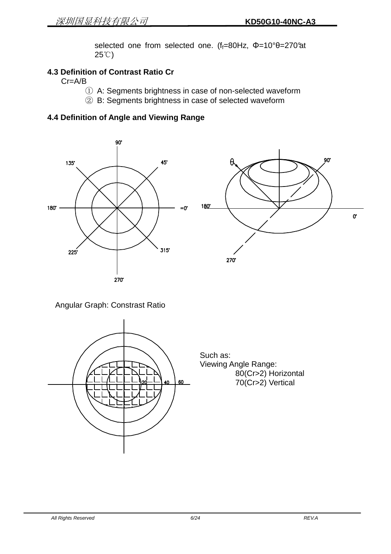selected one from selected one. ( $f_f=80$ Hz,  $\Phi=10^\circ\theta=270^\circ$ at  $25^{\circ}$ C)

#### **4.3 Definition of Contrast Ratio Cr**

- Cr=A/B
	- ① A: Segments brightness in case of non-selected waveform
	- ② B: Segments brightness in case of selected waveform

#### **4.4 Definition of Angle and Viewing Range**



Angular Graph: Constrast Ratio



Such as: Viewing Angle Range: 80(Cr>2) Horizontal 70(Cr>2) Vertical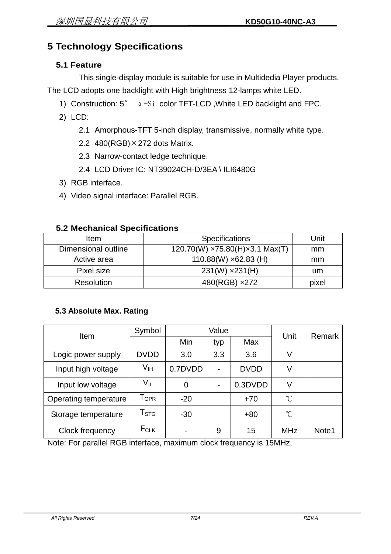# **5 Technology Specifications**

### **5.1 Feature**

 This single-display module is suitable for use in Multidedia Player products. The LCD adopts one backlight with High brightness 12-lamps white LED.

- 1) Construction: 5〞 а-Si color TFT-LCD ,White LED backlight and FPC.
- 2) LCD:
	- 2.1 Amorphous-TFT 5-inch display, transmissive, normally white type.
	- 2.2  $480(RGB) \times 272$  dots Matrix.
	- 2.3 Narrow-contact ledge technique.
	- 2.4 LCD Driver IC: NT39024CH-D/3EA \ ILI6480G
- 3) RGB interface.
- 4) Video signal interface: Parallel RGB.

### **5.2 Mechanical Specifications**

| <b>Item</b>         | <b>Specifications</b>          | Unit  |
|---------------------|--------------------------------|-------|
| Dimensional outline | 120.70(W) x75.80(H)x3.1 Max(T) | mm    |
| Active area         | $110.88(W) \times 62.83(H)$    | mm    |
| Pixel size          | $231(W) \times 231(H)$         | um    |
| Resolution          | 480(RGB) x272                  | pixel |

### **5.3 Absolute Max. Rating**

| Item                  | Symbol                      |         | Value | Unit        | Remark          |       |
|-----------------------|-----------------------------|---------|-------|-------------|-----------------|-------|
|                       |                             | Min     | typ   | Max         |                 |       |
| Logic power supply    | <b>DVDD</b>                 | 3.0     | 3.3   | 3.6         | V               |       |
| Input high voltage    | V <sub>IH</sub>             | 0.7DVDD |       | <b>DVDD</b> | V               |       |
| Input low voltage     | Vıl                         | 0       |       | 0.3DVDD     | V               |       |
| Operating temperature | $\mathsf{T}_{\mathsf{OPR}}$ | $-20$   |       | $+70$       | $\rm ^{\circ}C$ |       |
| Storage temperature   | $\mathsf{T}_{\text{STG}}$   | $-30$   |       | $+80$       | $\rm ^{\circ}C$ |       |
| Clock frequency       | $F_{CLK}$                   |         | 9     | 15          | MHz             | Note1 |

Note: For parallel RGB interface, maximum clock frequency is 15MHz,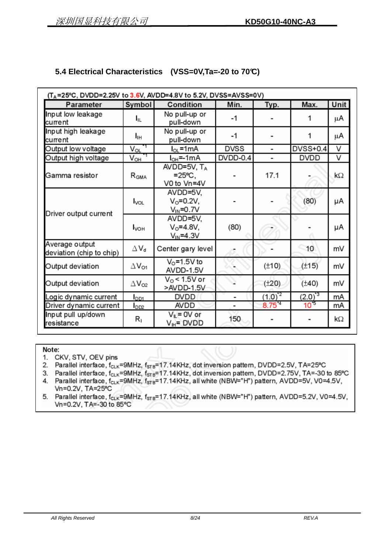### **5.4 Electrical Characteristics (VSS=0V,Ta=-20 to 70°C)**

| (T <sub>A</sub> =25°C, DVDD=2.25V to 3.6V, AVDD=4.8V to 5.2V, DVSS=AVSS=0V) |                                    |                                                |                 |                          |                 |      |
|-----------------------------------------------------------------------------|------------------------------------|------------------------------------------------|-----------------|--------------------------|-----------------|------|
| Parameter                                                                   | Symbol                             | Condition                                      | Min.            | Typ.                     | Max.            | Unit |
| Input low leakage<br>current                                                | Ιų,                                | No pull-up or<br>pull-down                     | $-1$            |                          | 1               | μA   |
| Input high leakage<br>current                                               | Iн                                 | No pull-up or<br>pull-down                     | -1              |                          | 1               | μA   |
| Output low voltage                                                          | $V_{OL}$ ''                        | $I_{OL}$ =1mA                                  | <b>DVSS</b>     | $\overline{\phantom{0}}$ | <b>DVSS+0.4</b> | V    |
| Output high voltage                                                         | $V_{OH}$                           | $IOH=-1mA$                                     | <b>DVDD-0.4</b> | $\overline{\phantom{0}}$ | <b>DVDD</b>     | V    |
| Gamma resistor                                                              | ${\sf R}_{\sf GMA}$                | AVDD=5V, TA<br>$=25^{\circ}$ C,<br>V0 to Vn=4V |                 | 17.1                     |                 | kΩ   |
| Driver output current                                                       | Ivol                               | AVDD=5V.<br>$V_0 = 0.2V$ ,<br>$V_{IN} = 0.7V$  |                 |                          | (80)            | μA   |
|                                                                             | I <sub>VOH</sub>                   | AVDD=5V,<br>$V_0 = 4.8V$ ,<br>$V_{IN} = 4.3V$  | (80)            |                          |                 | μA   |
| Average output<br>deviation (chip to chip)                                  | $\Delta$ $\mathsf{V}_{\mathsf{d}}$ | Center gary level                              |                 |                          | 10              | mV   |
| Output deviation                                                            | $\Delta V_{\text{O1}}$             | $Vo = 1.5V to$<br>AVDD-1.5V                    |                 | (±10)                    | (±15)           | mV   |
| Output deviation                                                            | $\Delta V_{O2}$                    | $Vo$ < 1.5V or<br>>AVDD-1.5V                   |                 | (±20)                    | (±40)           | mV   |
| Logic dynamic current                                                       | $I_{DD1}$                          | <b>DVDD</b>                                    | ۰               | $(1.0)^2$                | $(2.0)^3$       | mA   |
| Driver dynamic current                                                      | $I_{DD2}$                          | AVDD                                           |                 | $8.75^{4}$               | $10^{35}$       | mA   |
| Input pull up/down<br>resistance                                            | R,                                 | $V_{\parallel}$ = 0V or<br>$V_H = D V D D$     | 150             |                          |                 | kΩ   |

#### Note:

- 1. CKV, STV, OEV pins
- 2. Parallel interface, f<sub>CLK</sub>=9MHz, f<sub>STB</sub>=17.14KHz, dot inversion pattern, DVDD=2.5V, TA=25°C
- 3. Parallel interface, f<sub>CLK</sub>=9MHz, f<sub>STB</sub>=17.14KHz, dot inversion pattern, DVDD=2.75V, TA=-30 to 85°C
- 4. Parallel interface, f<sub>CLK</sub>=9MHz, f<sub>STB</sub>=17.14KHz, all white (NBW="H") pattern, AVDD=5V, V0=4.5V, Vn=0.2V, TA=25°C
- 5. Parallel interface, f<sub>CLK</sub>=9MHz, f<sub>STB</sub>=17.14KHz, all white (NBW="H") pattern, AVDD=5.2V, V0=4.5V, Vn=0.2V, TA=-30 to 85°C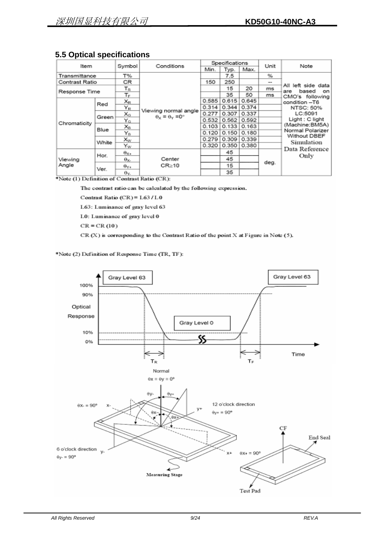#### **5.5 Optical specifications**

| Item           |                                                     | Symbol                                                  | Conditions | Specifications |       |       | Unit    | Note                                 |  |
|----------------|-----------------------------------------------------|---------------------------------------------------------|------------|----------------|-------|-------|---------|--------------------------------------|--|
|                |                                                     |                                                         |            | Min.           | Typ.  | Max.  |         |                                      |  |
| Transmittance  |                                                     | T%                                                      |            |                | 7,5   |       | %       |                                      |  |
| Contrast Ratio |                                                     | CR                                                      |            | 150            | 250   |       | --      | ΑII                                  |  |
| Response Time  |                                                     | Тĸ                                                      |            |                | 15    | 20    | ms      | left side data<br>based<br>on<br>are |  |
|                |                                                     | Тε                                                      |            |                | 35    | 50    | ms.     | CMO's following                      |  |
|                | Red                                                 | $\mathsf{x}_{\scriptscriptstyle{\mathsf{R}}}$           |            | 0.585          | 0.615 | 0.645 |         | condition -T6                        |  |
|                |                                                     | YR                                                      |            | 0.314          | 0.344 | 0.374 |         | NTSC: 50%                            |  |
|                | Χg                                                  | Viewing normal angle<br>$\theta_v = \theta_v = 0^\circ$ | 0.277      | 0.307          | 0.337 |       | LC:5091 |                                      |  |
|                | Green                                               | Yc                                                      |            | 0.532          | 0.562 | 0.592 |         | Light : C light                      |  |
| Chromaticity   |                                                     | Xe                                                      |            | 0.103          | 0.133 | 0.163 |         | (Machine:BM5A)                       |  |
|                | Blue                                                | Yв                                                      |            | 0.120          | 0.150 | 0.180 |         | Normal Polarizer<br>Without DBEF     |  |
|                | $\mathsf{x}_{\scriptscriptstyle{W}}$<br>White<br>Yw |                                                         |            | 0.279          | 0.309 | 0.339 |         | Simulation                           |  |
|                |                                                     |                                                         |            | 0.320          | 0.350 | 0,380 |         | Data Reference                       |  |
|                | Hor.                                                | $\theta_{X+}$                                           |            |                | 45    |       |         |                                      |  |
| Viewina        |                                                     | $\Theta_{X}$                                            | Center     |                | 45    |       |         | Only                                 |  |
| Angle          |                                                     | $\theta_{Y*}$                                           | CR≥10      |                | 15    |       | deg.    |                                      |  |
|                | Ver.                                                | θγ.                                                     |            |                | 35    |       |         |                                      |  |

\*Note (1) Definition of Contrast Ratio (CR):

The contrast ratio can be calculated by the following expression.

Contrast Ratio (CR) = L63/L0

L63: Luminance of gray level 63

L0: Luminance of gray level 0

 $CR = CR(10)$ 

 $CR(X)$  is corresponding to the Contrast Ratio of the point X at Figure in Note (5).

\*Note (2) Definition of Response Time (TR, TF):

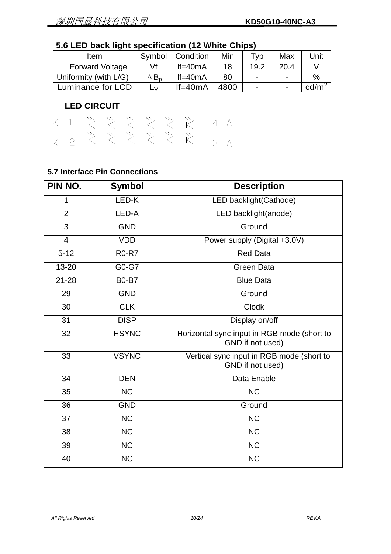| 5.6 LED back light specification (12 White Chips) |  |
|---------------------------------------------------|--|
|---------------------------------------------------|--|

| Item                   | Symbol                             | Condition   | Min  | Typl                     | Max  | Unit          |
|------------------------|------------------------------------|-------------|------|--------------------------|------|---------------|
| <b>Forward Voltage</b> | \/f                                | If=40 $mA$  | 18   | 19.2                     | 20.4 |               |
| Uniformity (with L/G)  | $\Delta$ $\mathsf{B}_{\mathsf{p}}$ | $If = 40mA$ | 80   | $\blacksquare$           |      | $\frac{1}{2}$ |
| Luminance for LCD      | ∟∖∕                                | $If = 40mA$ | 4800 | $\overline{\phantom{0}}$ |      | cd/m          |

### **LED CIRCUIT**



#### **5.7 Interface Pin Connections**

| PIN NO.        | <b>Symbol</b>          | <b>Description</b>                                              |
|----------------|------------------------|-----------------------------------------------------------------|
| 1              | LED-K                  | LED backlight(Cathode)                                          |
| $\overline{2}$ | LED-A                  | LED backlight(anode)                                            |
| 3              | <b>GND</b>             | Ground                                                          |
| $\overline{4}$ | <b>VDD</b>             | Power supply (Digital +3.0V)                                    |
| $5 - 12$       | <b>R0-R7</b>           | <b>Red Data</b>                                                 |
| 13-20          | G0-G7                  | <b>Green Data</b>                                               |
| $21 - 28$      | <b>B0-B7</b>           | <b>Blue Data</b>                                                |
| 29             | <b>GND</b>             | Ground                                                          |
| 30             | <b>CLK</b>             | <b>Clodk</b>                                                    |
| 31             | <b>DISP</b>            | Display on/off                                                  |
| 32             | <b>HSYNC</b>           | Horizontal sync input in RGB mode (short to<br>GND if not used) |
| 33             | <b>VSYNC</b>           | Vertical sync input in RGB mode (short to<br>GND if not used)   |
| 34             | <b>DEN</b>             | Data Enable                                                     |
| 35             | <b>NC</b>              | <b>NC</b>                                                       |
| 36             | <b>GND</b>             | Ground                                                          |
| 37             | $\overline{\text{NC}}$ | <b>NC</b>                                                       |
| 38             | $\overline{\text{NC}}$ | <b>NC</b>                                                       |
| 39             | <b>NC</b>              | <b>NC</b>                                                       |
| 40             | <b>NC</b>              | <b>NC</b>                                                       |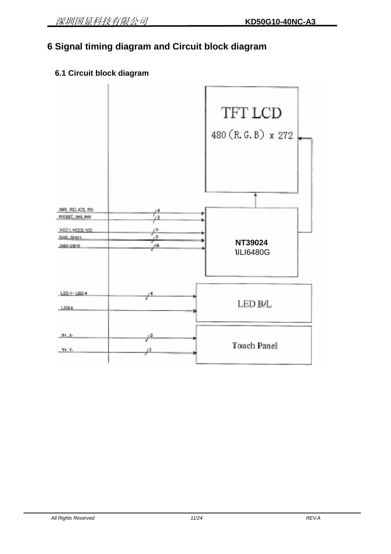## **6 Signal timing diagram and Circuit block diagram**

#### **6.1 Circuit block diagram**

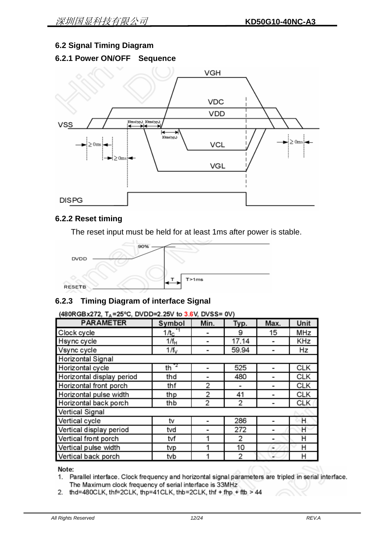#### **6.2 Signal Timing Diagram**

#### **6.2.1 Power ON/OFF Sequence**



#### **6.2.2 Reset timing**

The reset input must be held for at least 1ms after power is stable.



#### **6.2.3 Timing Diagram of interface Signal**

| <b>PARAMETER</b>          | Symbol     | Min. | Typ.  | Max. | Unit       |  |
|---------------------------|------------|------|-------|------|------------|--|
| Clock cycle               | $1/t_c$ '1 |      | 9     | 15   | MHz        |  |
| Hsync cycle               | $1/f_H$    |      | 17.14 |      | KHz        |  |
| Vsync cycle               | $1/f_v$    |      | 59.94 |      | Hz         |  |
| Horizontal Signal         |            |      |       |      |            |  |
| Horizontal cycle          | th $^2$    |      | 525   |      | <b>CLK</b> |  |
| Horizontal display period | thd        |      | 480   |      | <b>CLK</b> |  |
| Horizontal front porch    | thf        | 2    | ۰     |      | <b>CLK</b> |  |
| Horizontal pulse width    | thp        | 2    | 41    |      | <b>CLK</b> |  |
| Horizontal back porch     | thb        | 2    | 2     |      | <b>CLK</b> |  |
| <b>Vertical Signal</b>    |            |      |       |      |            |  |
| Vertical cycle            | tv         |      | 286   |      | н          |  |
| Vertical display period   | tvd        |      | 272   |      | Н          |  |
| Vertical front porch      | tvf        |      | 2     |      | Ή          |  |
| Vertical pulse width      | tvp        |      | 10    |      | Η          |  |
| Vertical back porch       | tvb        |      | 2     |      | Н          |  |

 $(480RGRx)$  72  $T = 25\degree$ C DVDD=2 25V to 3 6V DVSS= 0V)

#### Note:

1. Parallel interface. Clock frequency and horizontal signal parameters are tripled in serial interface. The Maximum clock frequency of serial interface is 33MHz

2. thd=480CLK, thf=2CLK, thp=41CLK, thb=2CLK, thf + fhp + ftb > 44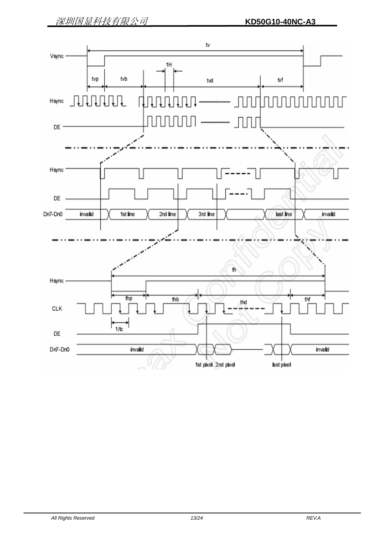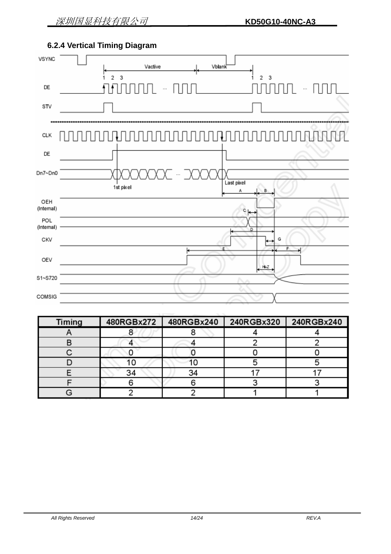#### **6.2.4 Vertical Timing Diagram**



| Timing | 480RGBx272 | 480RGBx240 240RGBx320 240RGBx240 |  |
|--------|------------|----------------------------------|--|
|        |            |                                  |  |
|        |            |                                  |  |
|        |            |                                  |  |
|        |            |                                  |  |
|        |            |                                  |  |
|        |            |                                  |  |
|        |            |                                  |  |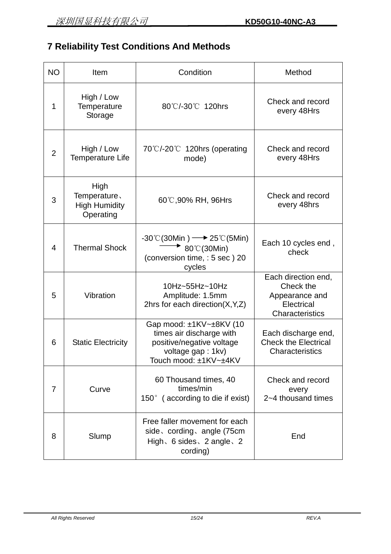# **7 Reliability Test Conditions And Methods**

| <b>NO</b>      | Item                                                                                                                | Condition                                                                                                                      | Method                                                                              |
|----------------|---------------------------------------------------------------------------------------------------------------------|--------------------------------------------------------------------------------------------------------------------------------|-------------------------------------------------------------------------------------|
| 1              | High / Low<br><b>Temperature</b><br>Storage                                                                         | 80℃/-30℃ 120hrs                                                                                                                | Check and record<br>every 48Hrs                                                     |
| $\overline{2}$ | High / Low<br><b>Temperature Life</b>                                                                               | $70^{\circ}$ C/-20 $^{\circ}$ C 120hrs (operating<br>mode)                                                                     | Check and record<br>every 48Hrs                                                     |
| 3              | High<br>Temperature.<br><b>High Humidity</b><br>Operating                                                           | 60℃,90% RH, 96Hrs                                                                                                              | Check and record<br>every 48hrs                                                     |
| 4              | <b>Thermal Shock</b>                                                                                                | $-30^{\circ}$ C(30Min) $\longrightarrow$ 25 $^{\circ}$ C(5Min)<br>▶ 80°C (30Min)<br>(conversion time, : 5 sec) 20<br>cycles    | Each 10 cycles end,<br>check                                                        |
| 5              | Vibration                                                                                                           | 10Hz~55Hz~10Hz<br>Amplitude: 1.5mm<br>2hrs for each direction $(X, Y, Z)$                                                      | Each direction end,<br>Check the<br>Appearance and<br>Electrical<br>Characteristics |
| 6              | <b>Static Electricity</b>                                                                                           | Gap mood: ±1KV~±8KV (10<br>times air discharge with<br>positive/negative voltage<br>voltage gap: 1kv)<br>Touch mood: ±1KV~±4KV | Each discharge end,<br><b>Check the Electrical</b><br>Characteristics               |
| 7              | Curve                                                                                                               | 60 Thousand times, 40<br>times/min<br>150° (according to die if exist)                                                         | Check and record<br>every<br>2~4 thousand times                                     |
| 8              | Free faller movement for each<br>side, cording, angle (75cm<br>Slump<br>High, $6$ sides, $2$ angle, $2$<br>cording) |                                                                                                                                | End                                                                                 |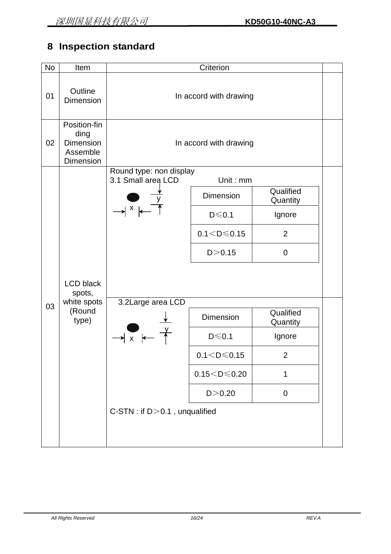# **8 Inspection standard**

| <b>No</b> | Item                                                              | Criterion                                     |                        |                       |  |  |  |
|-----------|-------------------------------------------------------------------|-----------------------------------------------|------------------------|-----------------------|--|--|--|
| 01        | Outline<br>Dimension                                              | In accord with drawing                        |                        |                       |  |  |  |
| 02        | Position-fin<br>ding<br><b>Dimension</b><br>Assemble<br>Dimension |                                               | In accord with drawing |                       |  |  |  |
|           |                                                                   | Round type: non display<br>3.1 Small area LCD | Unit: mm               |                       |  |  |  |
|           |                                                                   |                                               | Dimension              | Qualified<br>Quantity |  |  |  |
|           |                                                                   | $\rightarrow X \leftarrow Y$                  | $D \le 0.1$            | Ignore                |  |  |  |
|           |                                                                   |                                               | $0.1 < D \le 0.15$     | $\overline{2}$        |  |  |  |
|           |                                                                   |                                               | D > 0.15               | 0                     |  |  |  |
|           | <b>LCD black</b><br>spots,                                        |                                               |                        |                       |  |  |  |
| 03        | white spots                                                       | 3.2Large area LCD                             |                        |                       |  |  |  |
|           | (Round<br>type)                                                   |                                               | <b>Dimension</b>       | Qualified<br>Quantity |  |  |  |
|           |                                                                   | $\rightarrow$ x $\leftarrow$                  | $D \le 0.1$            | Ignore                |  |  |  |
|           |                                                                   |                                               | $0.1 < D \le 0.15$     | 2                     |  |  |  |
|           |                                                                   |                                               | $0.15 < D \le 0.20$    | 1                     |  |  |  |
|           |                                                                   |                                               | D > 0.20               | 0                     |  |  |  |
|           |                                                                   | $C-STN$ : if $D>0.1$ , unqualified            |                        |                       |  |  |  |
|           |                                                                   |                                               |                        |                       |  |  |  |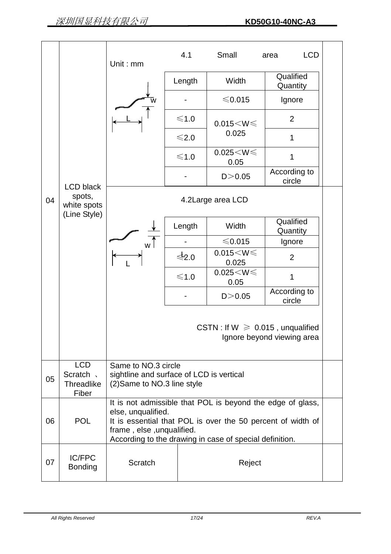|    | Unit: mm                                              |                                                                                                                                                                                                                                         | 4.1             | Small                                | <b>LCD</b><br>area         |  |
|----|-------------------------------------------------------|-----------------------------------------------------------------------------------------------------------------------------------------------------------------------------------------------------------------------------------------|-----------------|--------------------------------------|----------------------------|--|
|    |                                                       |                                                                                                                                                                                                                                         | Length          | Width                                | Qualified<br>Quantity      |  |
|    |                                                       |                                                                                                                                                                                                                                         |                 | $\leq 0.015$                         | Ignore                     |  |
|    |                                                       |                                                                                                                                                                                                                                         | $\leq 1.0$      | $0.015 < W \leq$                     | $\overline{2}$             |  |
|    |                                                       |                                                                                                                                                                                                                                         | $\leq 2.0$      | 0.025                                | 1                          |  |
|    |                                                       |                                                                                                                                                                                                                                         | $\leq 1.0$      | $0.025 < W \leq$<br>0.05             | 1                          |  |
|    | <b>LCD black</b>                                      |                                                                                                                                                                                                                                         |                 | D > 0.05                             | According to<br>circle     |  |
| 04 | spots,<br>white spots                                 |                                                                                                                                                                                                                                         |                 | 4.2Large area LCD                    |                            |  |
|    |                                                       | (Line Style)                                                                                                                                                                                                                            | Length          | Width                                | Qualified<br>Quantity      |  |
|    |                                                       |                                                                                                                                                                                                                                         |                 | $\leq 0.015$                         | Ignore                     |  |
|    |                                                       |                                                                                                                                                                                                                                         | $\leqslant$ 2.0 | $0.015 < W \leq$<br>0.025            | $\overline{2}$             |  |
|    |                                                       |                                                                                                                                                                                                                                         | $\leq 1.0$      | $0.025 < W \leq$<br>0.05             | 1                          |  |
|    |                                                       |                                                                                                                                                                                                                                         |                 | D > 0.05                             | According to<br>circle     |  |
|    |                                                       |                                                                                                                                                                                                                                         |                 | CSTN: If $W \ge 0.015$ , unqualified | Ignore beyond viewing area |  |
| 05 | <b>LCD</b><br>Scratch 、<br><b>Threadlike</b><br>Fiber | Same to NO.3 circle<br>sightline and surface of LCD is vertical<br>(2) Same to NO.3 line style                                                                                                                                          |                 |                                      |                            |  |
| 06 | <b>POL</b>                                            | It is not admissible that POL is beyond the edge of glass,<br>else, unqualified.<br>It is essential that POL is over the 50 percent of width of<br>frame, else, unqualified.<br>According to the drawing in case of special definition. |                 |                                      |                            |  |
| 07 | <b>IC/FPC</b><br><b>Bonding</b>                       | Scratch<br>Reject                                                                                                                                                                                                                       |                 |                                      |                            |  |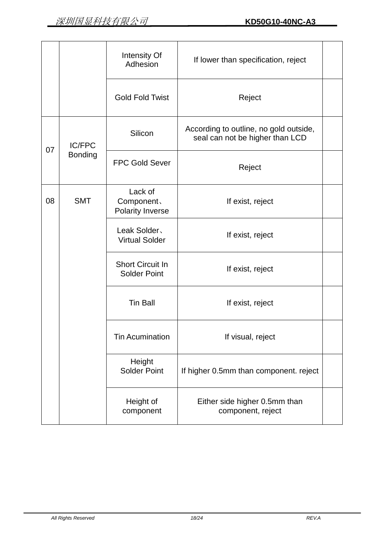|                      |                       | Intensity Of<br>Adhesion                                                             | If lower than specification, reject                |  |
|----------------------|-----------------------|--------------------------------------------------------------------------------------|----------------------------------------------------|--|
|                      |                       | <b>Gold Fold Twist</b>                                                               | Reject                                             |  |
|                      | <b>IC/FPC</b>         | According to outline, no gold outside,<br>Silicon<br>seal can not be higher than LCD |                                                    |  |
| 07<br><b>Bonding</b> | <b>FPC Gold Sever</b> | Reject                                                                               |                                                    |  |
| 08                   | <b>SMT</b>            | Lack of<br>Component.<br><b>Polarity Inverse</b>                                     | If exist, reject                                   |  |
|                      |                       | Leak Solder.<br><b>Virtual Solder</b>                                                | If exist, reject                                   |  |
|                      |                       | <b>Short Circuit In</b><br><b>Solder Point</b>                                       | If exist, reject                                   |  |
|                      |                       | <b>Tin Ball</b>                                                                      | If exist, reject                                   |  |
|                      |                       | <b>Tin Acumination</b>                                                               | If visual, reject                                  |  |
|                      |                       | Height<br><b>Solder Point</b>                                                        | If higher 0.5mm than component. reject             |  |
|                      |                       | Height of<br>component                                                               | Either side higher 0.5mm than<br>component, reject |  |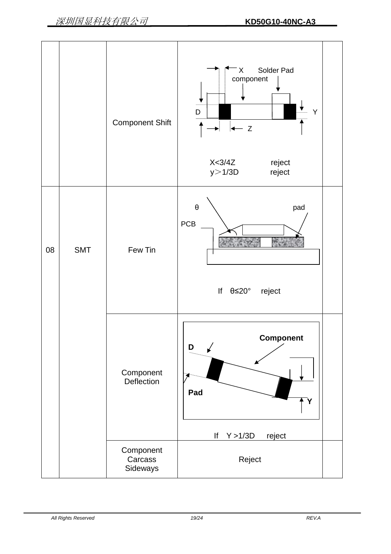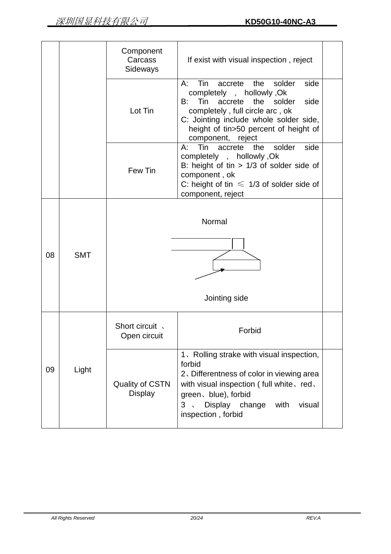|    |            | Component<br>Carcass<br>Sideways         | If exist with visual inspection, reject                                                                                                                                                                                                                               |
|----|------------|------------------------------------------|-----------------------------------------------------------------------------------------------------------------------------------------------------------------------------------------------------------------------------------------------------------------------|
|    |            | Lot Tin                                  | Tin<br>the<br>side<br>A:<br>accrete<br>solder<br>completely, hollowly, Ok<br>Tin<br>the<br>solder<br>side<br>B:<br>accrete<br>completely, full circle arc, ok<br>C: Jointing include whole solder side,<br>height of tin>50 percent of height of<br>component, reject |
|    |            | Few Tin                                  | Tin<br>solder<br>side<br>accrete<br>the<br>A:<br>completely, hollowly, Ok<br>B: height of tin $> 1/3$ of solder side of<br>component, ok<br>C: height of tin $\leq 1/3$ of solder side of<br>component, reject                                                        |
| 08 | <b>SMT</b> |                                          | Normal<br>Jointing side                                                                                                                                                                                                                                               |
|    |            | Short circuit,<br>Open circuit           | Forbid                                                                                                                                                                                                                                                                |
| 09 | Light      | <b>Quality of CSTN</b><br><b>Display</b> | 1. Rolling strake with visual inspection,<br>forbid<br>2. Differentness of color in viewing area<br>with visual inspection (full white, red,<br>green, blue), forbid<br>Display<br>change<br>with<br>visual<br>3<br>inspection, forbid                                |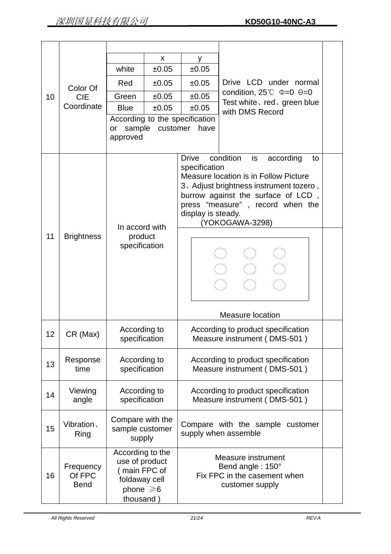| Color Of<br><b>CIE</b><br>10 |                                    |                                                                                                   | X        | У                                                                                                                                                                                                                                                                          |                                                                                                  |  |
|------------------------------|------------------------------------|---------------------------------------------------------------------------------------------------|----------|----------------------------------------------------------------------------------------------------------------------------------------------------------------------------------------------------------------------------------------------------------------------------|--------------------------------------------------------------------------------------------------|--|
|                              |                                    | white                                                                                             | ±0.05    | ±0.05                                                                                                                                                                                                                                                                      |                                                                                                  |  |
|                              |                                    | Red                                                                                               | ±0.05    | ±0.05                                                                                                                                                                                                                                                                      | Drive LCD under normal                                                                           |  |
|                              | Green                              | ±0.05                                                                                             | ±0.05    | condition, $25^{\circ}$ $\circ$ $\phi=0$ $\Theta=0$<br>Test white, red, green blue                                                                                                                                                                                         |                                                                                                  |  |
|                              | Coordinate                         | <b>Blue</b>                                                                                       | ±0.05    | ±0.05                                                                                                                                                                                                                                                                      | with DMS Record                                                                                  |  |
|                              |                                    | sample<br>or<br>approved                                                                          | customer | According to the specification<br>have                                                                                                                                                                                                                                     |                                                                                                  |  |
|                              |                                    | In accord with                                                                                    |          | condition<br>is<br><b>Drive</b><br>according<br>to<br>specification<br>Measure location is in Follow Picture<br>3. Adjust brightness instrument tozero,<br>burrow against the surface of LCD,<br>press "measure", record when the<br>display is steady.<br>(YOKOGAWA-3298) |                                                                                                  |  |
| 11                           | <b>Brightness</b>                  | product<br>specification                                                                          |          |                                                                                                                                                                                                                                                                            |                                                                                                  |  |
|                              |                                    |                                                                                                   |          |                                                                                                                                                                                                                                                                            | <b>Measure location</b>                                                                          |  |
| 12                           | CR (Max)                           | According to<br>specification                                                                     |          |                                                                                                                                                                                                                                                                            | According to product specification<br>Measure instrument (DMS-501)                               |  |
| 13                           | Response<br>time                   | According to<br>specification                                                                     |          |                                                                                                                                                                                                                                                                            | According to product specification<br>Measure instrument (DMS-501)                               |  |
| 14                           | Viewing<br>angle                   | According to<br>specification                                                                     |          |                                                                                                                                                                                                                                                                            | According to product specification<br>Measure instrument (DMS-501)                               |  |
| 15                           | Vibration.<br>Ring                 | Compare with the<br>sample customer<br>supply                                                     |          |                                                                                                                                                                                                                                                                            | Compare with the sample customer<br>supply when assemble                                         |  |
| 16                           | Frequency<br>Of FPC<br><b>Bend</b> | According to the<br>use of product<br>main FPC of<br>foldaway cell<br>phone $\geq 6$<br>thousand) |          |                                                                                                                                                                                                                                                                            | <b>Measure instrument</b><br>Bend angle: 150°<br>Fix FPC in the casement when<br>customer supply |  |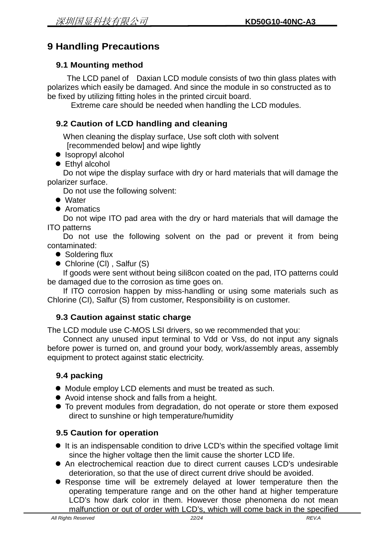# **9 Handling Precautions**

#### **9.1 Mounting method**

The LCD panel of Daxian LCD module consists of two thin glass plates with polarizes which easily be damaged. And since the module in so constructed as to be fixed by utilizing fitting holes in the printed circuit board.

Extreme care should be needed when handling the LCD modules.

### **9.2 Caution of LCD handling and cleaning**

When cleaning the display surface, Use soft cloth with solvent [recommended below] and wipe lightly

- Isopropyl alcohol
- Ethyl alcohol

 Do not wipe the display surface with dry or hard materials that will damage the polarizer surface.

Do not use the following solvent:

- Water
- Aromatics

 Do not wipe ITO pad area with the dry or hard materials that will damage the ITO patterns

 Do not use the following solvent on the pad or prevent it from being contaminated:

- Soldering flux
- Chlorine (CI), Salfur (S)

If goods were sent without being sili8con coated on the pad, ITO patterns could be damaged due to the corrosion as time goes on.

If ITO corrosion happen by miss-handling or using some materials such as Chlorine (CI), Salfur (S) from customer, Responsibility is on customer.

#### **9.3 Caution against static charge**

The LCD module use C-MOS LSI drivers, so we recommended that you:

Connect any unused input terminal to Vdd or Vss, do not input any signals before power is turned on, and ground your body, work/assembly areas, assembly equipment to protect against static electricity.

#### **9.4 packing**

- Module employ LCD elements and must be treated as such.
- Avoid intense shock and falls from a height.
- To prevent modules from degradation, do not operate or store them exposed direct to sunshine or high temperature/humidity

#### **9.5 Caution for operation**

- It is an indispensable condition to drive LCD's within the specified voltage limit since the higher voltage then the limit cause the shorter LCD life.
- An electrochemical reaction due to direct current causes LCD's undesirable deterioration, so that the use of direct current drive should be avoided.
- Response time will be extremely delayed at lower temperature then the operating temperature range and on the other hand at higher temperature LCD's how dark color in them. However those phenomena do not mean malfunction or out of order with LCD's, which will come back in the specified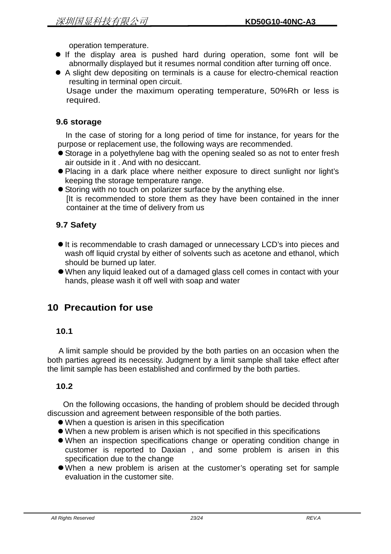operation temperature.

- If the display area is pushed hard during operation, some font will be abnormally displayed but it resumes normal condition after turning off once.
- A slight dew depositing on terminals is a cause for electro-chemical reaction resulting in terminal open circuit.

Usage under the maximum operating temperature, 50%Rh or less is required.

#### **9.6 storage**

In the case of storing for a long period of time for instance, for years for the purpose or replacement use, the following ways are recommended.

- Storage in a polyethylene bag with the opening sealed so as not to enter fresh air outside in it . And with no desiccant.
- Placing in a dark place where neither exposure to direct sunlight nor light's keeping the storage temperature range.
- **Storing with no touch on polarizer surface by the anything else.** It is recommended to store them as they have been contained in the inner container at the time of delivery from us

#### **9.7 Safety**

- It is recommendable to crash damaged or unnecessary LCD's into pieces and wash off liquid crystal by either of solvents such as acetone and ethanol, which should be burned up later.
- When any liquid leaked out of a damaged glass cell comes in contact with your hands, please wash it off well with soap and water

## **10 Precaution for use**

#### **10.1**

A limit sample should be provided by the both parties on an occasion when the both parties agreed its necessity. Judgment by a limit sample shall take effect after the limit sample has been established and confirmed by the both parties.

#### **10.2**

On the following occasions, the handing of problem should be decided through discussion and agreement between responsible of the both parties.

- When a question is arisen in this specification
- When a new problem is arisen which is not specified in this specifications
- When an inspection specifications change or operating condition change in customer is reported to Daxian , and some problem is arisen in this specification due to the change
- When a new problem is arisen at the customer's operating set for sample evaluation in the customer site.